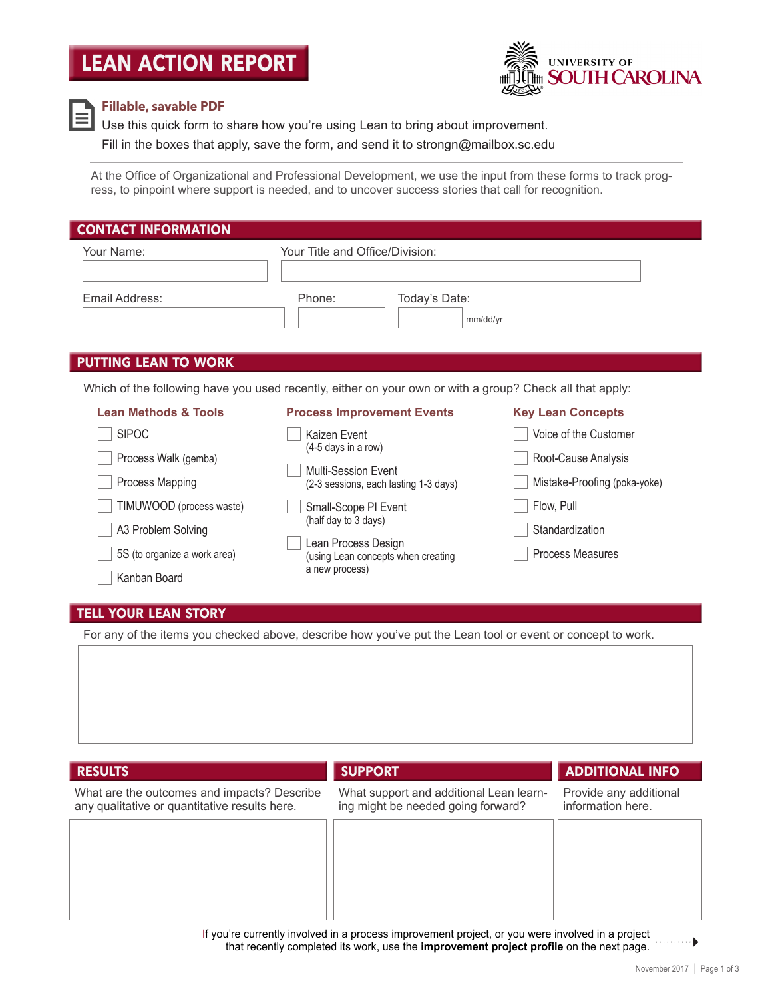# **LEAN ACTION REPORT**





#### **Fillable, savable PDF**

Use this quick form to share how you're using Lean to bring about improvement.

Fill in the boxes that apply, save the form, and send it to [strongn@mailbox.sc.edu](mailto:strongn@mailbox.sc.edu) 

At the Office of Organizational and Professional Development, we use the input from these forms to track progress, to pinpoint where support is needed, and to uncover success stories that call for recognition.

| <b>CONTACT INFORMATION</b>                                                                               |                                                              |                              |  |  |  |  |  |  |
|----------------------------------------------------------------------------------------------------------|--------------------------------------------------------------|------------------------------|--|--|--|--|--|--|
| Your Name:                                                                                               | Your Title and Office/Division:                              |                              |  |  |  |  |  |  |
|                                                                                                          |                                                              |                              |  |  |  |  |  |  |
| Email Address:                                                                                           | Today's Date:<br>Phone:                                      |                              |  |  |  |  |  |  |
|                                                                                                          | mm/dd/yr                                                     |                              |  |  |  |  |  |  |
|                                                                                                          |                                                              |                              |  |  |  |  |  |  |
| <b>PUTTING LEAN TO WORK</b>                                                                              |                                                              |                              |  |  |  |  |  |  |
| Which of the following have you used recently, either on your own or with a group? Check all that apply: |                                                              |                              |  |  |  |  |  |  |
| <b>Lean Methods &amp; Tools</b>                                                                          | <b>Process Improvement Events</b>                            | <b>Key Lean Concepts</b>     |  |  |  |  |  |  |
| <b>SIPOC</b>                                                                                             | Kaizen Event                                                 | Voice of the Customer        |  |  |  |  |  |  |
| Process Walk (gemba)                                                                                     | (4-5 days in a row)                                          | Root-Cause Analysis          |  |  |  |  |  |  |
| Process Mapping                                                                                          | Multi-Session Event<br>(2-3 sessions, each lasting 1-3 days) | Mistake-Proofing (poka-yoke) |  |  |  |  |  |  |
| TIMUWOOD (process waste)                                                                                 | Small-Scope PI Event<br>(half day to 3 days)                 | Flow, Pull                   |  |  |  |  |  |  |

- A3 Problem Solving<br>
Lean Process Design 5S (to organize a work area) (using Lean concepts when creating Process Measures a new process)
- Standardization

### **TELL YOUR LEAN STORY**

Kanban Board

For any of the items you checked above, describe how you've put the Lean tool or event or concept to work.



If you're currently involved in a process improvement project, or you were involved in a project . . . . . . . . . . 1 that recently completed its work, use the **improvement project profile** on the next page.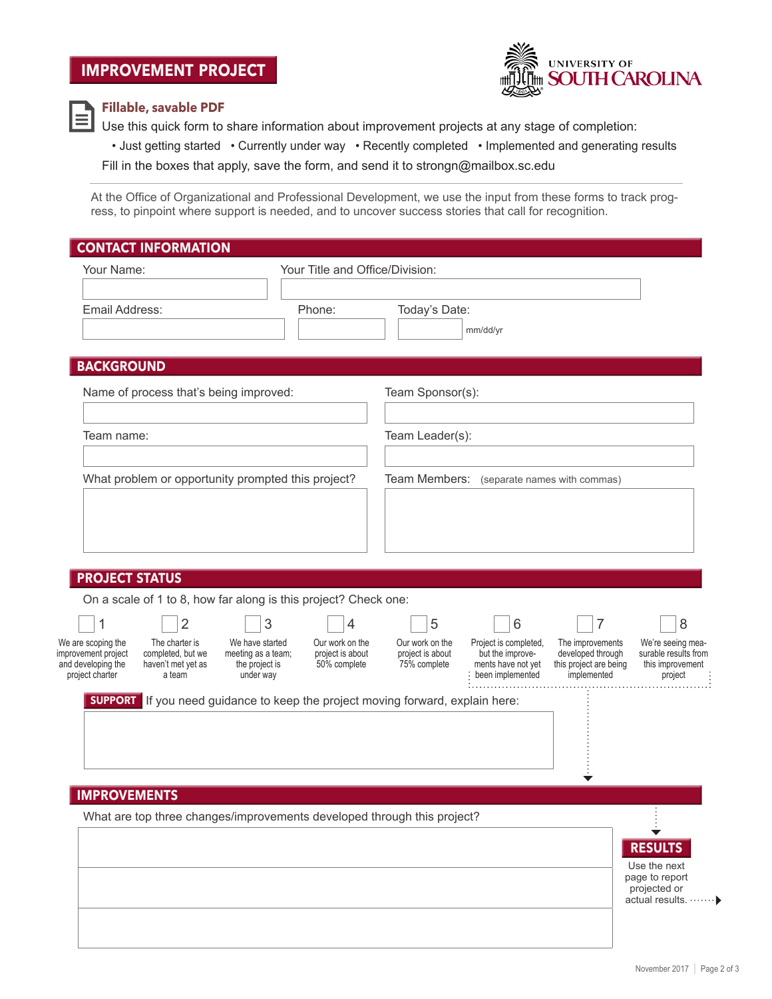# **IMPROVEMENT PROJECT**



### **Fillable, savable PDF**

Use this quick form to share information about improvement projects at any stage of completion:

• Just getting started • Currently under way • Recently completed • Implemented and generating results

Fill in the boxes that apply, save the form, and send it to [strongn@mailbox.sc.edu](mailto:strongn@mailbox.sc.edu) 

At the Office of Organizational and Professional Development, we use the input from these forms to track progress, to pinpoint where support is needed, and to uncover success stories that call for recognition.

| Your Name:                                                                                                        |                                       | Your Title and Office/Division:     |                                     |                                            |                                                                 |                                                               |
|-------------------------------------------------------------------------------------------------------------------|---------------------------------------|-------------------------------------|-------------------------------------|--------------------------------------------|-----------------------------------------------------------------|---------------------------------------------------------------|
| Email Address:                                                                                                    |                                       | Phone:                              | Today's Date:                       | mm/dd/yr                                   |                                                                 |                                                               |
| <b>BACKGROUND</b>                                                                                                 |                                       |                                     |                                     |                                            |                                                                 |                                                               |
| Name of process that's being improved:                                                                            |                                       |                                     | Team Sponsor(s):                    |                                            |                                                                 |                                                               |
| Team name:                                                                                                        |                                       |                                     | Team Leader(s):                     |                                            |                                                                 |                                                               |
| What problem or opportunity prompted this project?                                                                |                                       |                                     |                                     | Team Members: (separate names with commas) |                                                                 |                                                               |
|                                                                                                                   |                                       |                                     |                                     |                                            |                                                                 |                                                               |
|                                                                                                                   |                                       |                                     |                                     |                                            |                                                                 |                                                               |
|                                                                                                                   |                                       |                                     |                                     |                                            |                                                                 |                                                               |
| <b>PROJECT STATUS</b><br>On a scale of 1 to 8, how far along is this project? Check one:                          |                                       |                                     |                                     |                                            |                                                                 |                                                               |
| $\overline{2}$<br>1                                                                                               | 3                                     | 4                                   | 5                                   | 6                                          | 7                                                               | 8                                                             |
| We are scoping the<br>The charter is                                                                              | We have started<br>meeting as a team; | Our work on the<br>project is about | Our work on the<br>project is about | Project is completed,<br>but the improve-  | The improvements<br>developed through<br>this project are being | We're seeing mea-<br>surable results from<br>this improvement |
| improvement project<br>completed, but we<br>and developing the<br>haven't met yet as<br>project charter<br>a team | the project is<br>under way           | 50% complete                        | 75% complete                        | ments have not yet<br>been implemented     | implemented                                                     | project                                                       |
| <b>SUPPORT</b><br>If you need guidance to keep the project moving forward, explain here:                          |                                       |                                     |                                     | .                                          |                                                                 |                                                               |
|                                                                                                                   |                                       |                                     |                                     |                                            |                                                                 |                                                               |
|                                                                                                                   |                                       |                                     |                                     |                                            |                                                                 |                                                               |
| <b>IMPROVEMENTS</b>                                                                                               |                                       |                                     |                                     |                                            |                                                                 |                                                               |
| What are top three changes/improvements developed through this project?                                           |                                       |                                     |                                     |                                            |                                                                 |                                                               |
|                                                                                                                   |                                       |                                     |                                     |                                            |                                                                 | <b>RESULTS</b>                                                |
|                                                                                                                   |                                       |                                     |                                     |                                            |                                                                 | Use the next<br>page to report<br>projected or                |